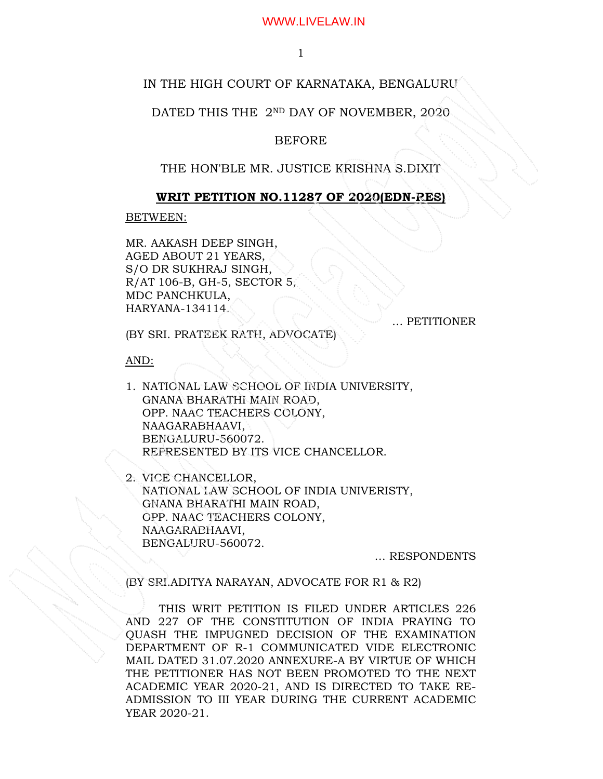1

# IN THE HIGH COURT OF KARNATAKA, BENGALURU

### DATED THIS THE 2ND DAY OF NOVEMBER, 2020.

# BEFORE

# THE HON'BLE MR. JUSTICE KRISHNA S.DIXIT

#### **WRIT PETITION NO.11287 OF 2020(EDN-RES)**

BETWEEN:

MR. AAKASH DEEP SINGH, AGED ABOUT 21 YEARS, S/O DR SUKHRAJ SINGH, R/AT 106-B, GH-5, SECTOR 5, MDC PANCHKULA, HARYANA-134114.

… PETITIONER

(BY SRI. PRATEEK RATH, ADVOCATE)

AND:

1. NATIONAL LAW SCHOOL OF INDIA UNIVERSITY, GNANA BHARATHI MAIN ROAD, OPP. NAAC TEACHERS COLONY, NAAGARABHAAVI, BENGALURU-560072. REPRESENTED BY ITS VICE CHANCELLOR.

2. VICE CHANCELLOR, NATIONAL LAW SCHOOL OF INDIA UNIVERISTY, GNANA BHARATHI MAIN ROAD, OPP. NAAC TEACHERS COLONY, NAAGARABHAAVI, BENGALURU-560072.

… RESPONDENTS

(BY SRI.ADITYA NARAYAN, ADVOCATE FOR R1 & R2)

THIS WRIT PETITION IS FILED UNDER ARTICLES 226 AND 227 OF THE CONSTITUTION OF INDIA PRAYING TO QUASH THE IMPUGNED DECISION OF THE EXAMINATION DEPARTMENT OF R-1 COMMUNICATED VIDE ELECTRONIC MAIL DATED 31.07.2020 ANNEXURE-A BY VIRTUE OF WHICH THE PETITIONER HAS NOT BEEN PROMOTED TO THE NEXT ACADEMIC YEAR 2020-21, AND IS DIRECTED TO TAKE RE-ADMISSION TO III YEAR DURING THE CURRENT ACADEMIC YEAR 2020-21.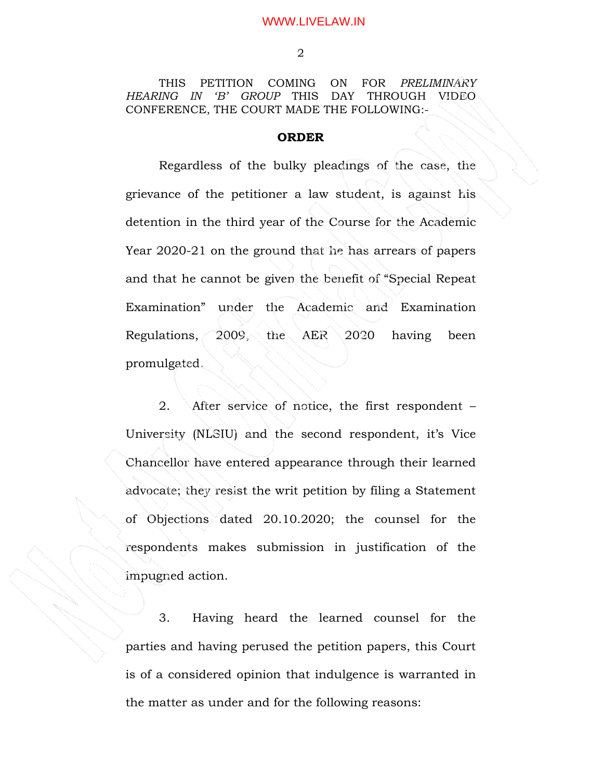THIS PETITION COMING ON FOR *PRELIMINARY HEARING IN 'B' GROUP* THIS DAY THROUGH VIDEO CONFERENCE, THE COURT MADE THE FOLLOWING:-

# **ORDER**

Regardless of the bulky pleadings of the case, the grievance of the petitioner a law student, is against his detention in the third year of the Course for the Academic Year 2020-21 on the ground that he has arrears of papers and that he cannot be given the benefit of "Special Repeat Examination" under the Academic and Examination Regulations, 2009, the AER 2020 having been promulgated.

 2. After service of notice, the first respondent – University (NLSIU) and the second respondent, it's Vice Chancellor have entered appearance through their learned advocate; they resist the writ petition by filing a Statement of Objections dated 20.10.2020; the counsel for the respondents makes submission in justification of the impugned action.

 3. Having heard the learned counsel for the parties and having perused the petition papers, this Court is of a considered opinion that indulgence is warranted in the matter as under and for the following reasons: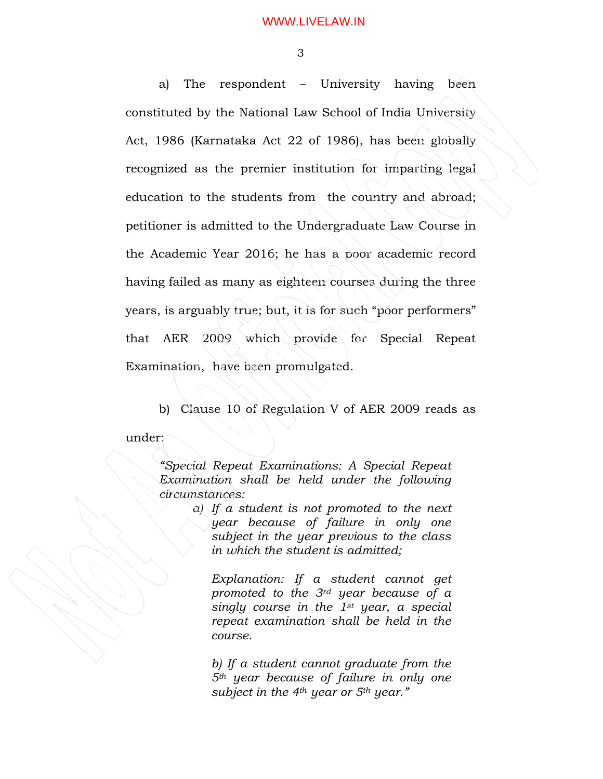3

 a) The respondent – University having been constituted by the National Law School of India University Act, 1986 (Karnataka Act 22 of 1986), has been globally recognized as the premier institution for imparting legal education to the students from the country and abroad; petitioner is admitted to the Undergraduate Law Course in the Academic Year 2016; he has a poor academic record having failed as many as eighteen courses during the three years, is arguably true; but, it is for such "poor performers" that AER 2009 which provide for Special Repeat Examination, have been promulgated.

 b) Clause 10 of Regulation V of AER 2009 reads as under:

*"Special Repeat Examinations: A Special Repeat Examination shall be held under the following circumstances:* 

> *a) If a student is not promoted to the next year because of failure in only one subject in the year previous to the class in which the student is admitted;*

*Explanation: If a student cannot get promoted to the 3rd year because of a singly course in the 1st year, a special repeat examination shall be held in the course.* 

*b) If a student cannot graduate from the 5th year because of failure in only one subject in the 4th year or 5th year."*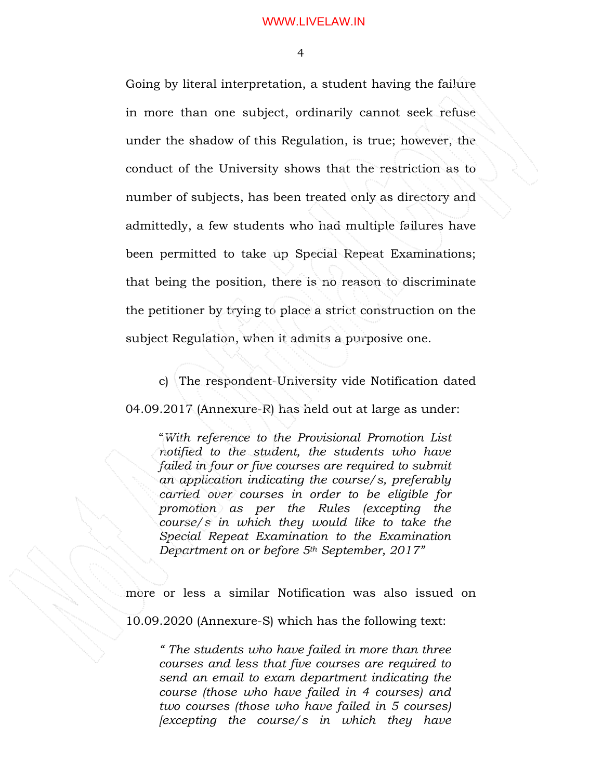4

Going by literal interpretation, a student having the failure in more than one subject, ordinarily cannot seek refuse under the shadow of this Regulation, is true; however, the conduct of the University shows that the restriction as to number of subjects, has been treated only as directory and admittedly, a few students who had multiple failures have been permitted to take up Special Repeat Examinations; that being the position, there is no reason to discriminate the petitioner by trying to place a strict construction on the subject Regulation, when it admits a purposive one.

 c) The respondent-University vide Notification dated 04.09.2017 (Annexure-R) has held out at large as under:

"*With reference to the Provisional Promotion List notified to the student, the students who have failed in four or five courses are required to submit an application indicating the course/s, preferably carried over courses in order to be eligible for promotion as per the Rules (excepting the course/s in which they would like to take the Special Repeat Examination to the Examination Department on or before 5th September, 2017"* 

more or less a similar Notification was also issued on

10.09.2020 (Annexure-S) which has the following text:

*" The students who have failed in more than three courses and less that five courses are required to send an email to exam department indicating the course (those who have failed in 4 courses) and two courses (those who have failed in 5 courses) [excepting the course/s in which they have*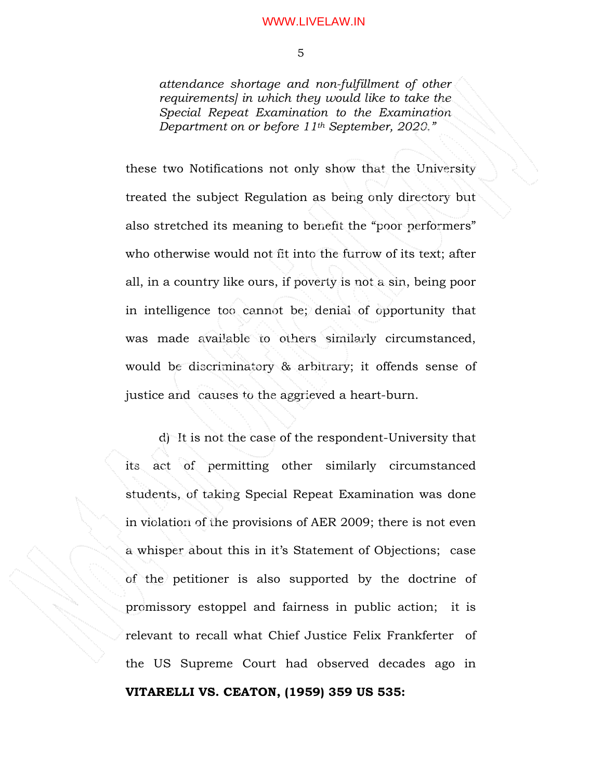*attendance shortage and non-fulfillment of other requirements] in which they would like to take the Special Repeat Examination to the Examination Department on or before 11th September, 2020."* 

these two Notifications not only show that the University treated the subject Regulation as being only directory but also stretched its meaning to benefit the "poor performers" who otherwise would not fit into the furrow of its text; after all, in a country like ours, if poverty is not a sin, being poor in intelligence too cannot be; denial of opportunity that was made available to others similarly circumstanced, would be discriminatory & arbitrary; it offends sense of justice and causes to the aggrieved a heart-burn.

 d) It is not the case of the respondent-University that its act of permitting other similarly circumstanced students, of taking Special Repeat Examination was done in violation of the provisions of AER 2009; there is not even a whisper about this in it's Statement of Objections; case of the petitioner is also supported by the doctrine of promissory estoppel and fairness in public action; it is relevant to recall what Chief Justice Felix Frankferter of the US Supreme Court had observed decades ago in **VITARELLI VS. CEATON, (1959) 359 US 535:**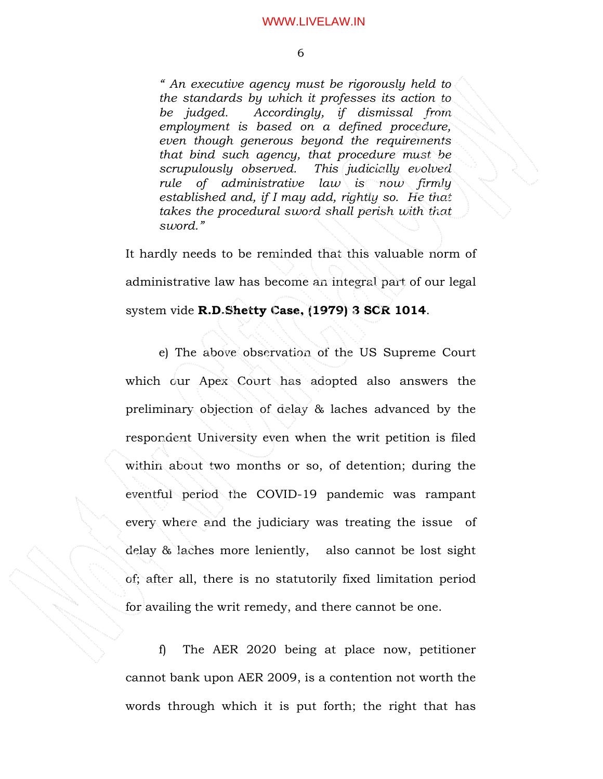*" An executive agency must be rigorously held to the standards by which it professes its action to be judged. Accordingly, if dismissal from employment is based on a defined procedure, even though generous beyond the requirements that bind such agency, that procedure must be scrupulously observed. This judicially evolved rule of administrative law is now firmly established and, if I may add, rightly so. He that takes the procedural sword shall perish with that sword."* 

It hardly needs to be reminded that this valuable norm of administrative law has become an integral part of our legal system vide **R.D.Shetty Case, (1979) 3 SCR 1014**.

 e) The above observation of the US Supreme Court which our Apex Court has adopted also answers the preliminary objection of delay & laches advanced by the respondent University even when the writ petition is filed within about two months or so, of detention; during the eventful period the COVID-19 pandemic was rampant every where and the judiciary was treating the issue of delay & laches more leniently, also cannot be lost sight of; after all, there is no statutorily fixed limitation period for availing the writ remedy, and there cannot be one.

f) The AER 2020 being at place now, petitioner cannot bank upon AER 2009, is a contention not worth the words through which it is put forth; the right that has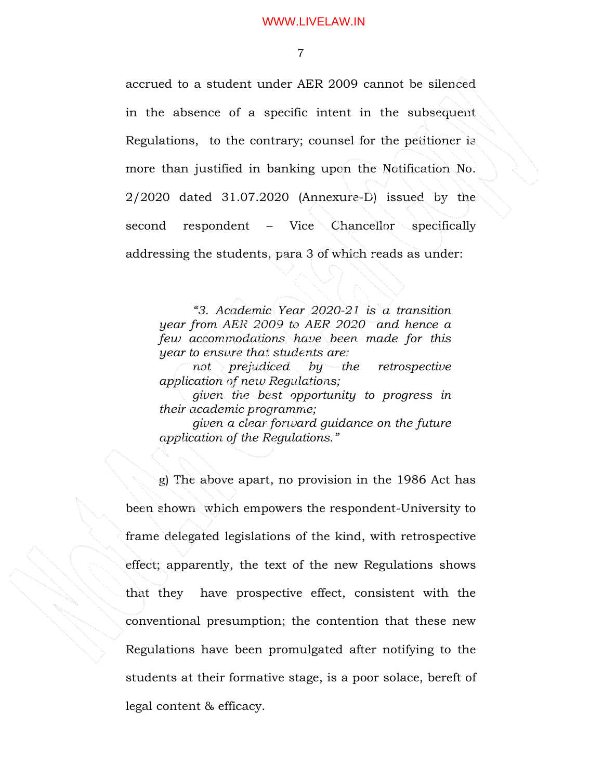7

accrued to a student under AER 2009 cannot be silenced in the absence of a specific intent in the subsequent Regulations, to the contrary; counsel for the petitioner is more than justified in banking upon the Notification No. 2/2020 dated 31.07.2020 (Annexure-D) issued by the second respondent – Vice Chancellor specifically addressing the students, para 3 of which reads as under:

*"3. Academic Year 2020-21 is a transition year from AER 2009 to AER 2020 and hence a few accommodations have been made for this year to ensure that students are:* 

*not prejudiced by the retrospective application of new Regulations;* 

*given the best opportunity to progress in their academic programme;* 

*given a clear forward guidance on the future application of the Regulations."* 

 g) The above apart, no provision in the 1986 Act has been shown which empowers the respondent-University to frame delegated legislations of the kind, with retrospective effect; apparently, the text of the new Regulations shows that they have prospective effect, consistent with the conventional presumption; the contention that these new Regulations have been promulgated after notifying to the students at their formative stage, is a poor solace, bereft of legal content & efficacy.